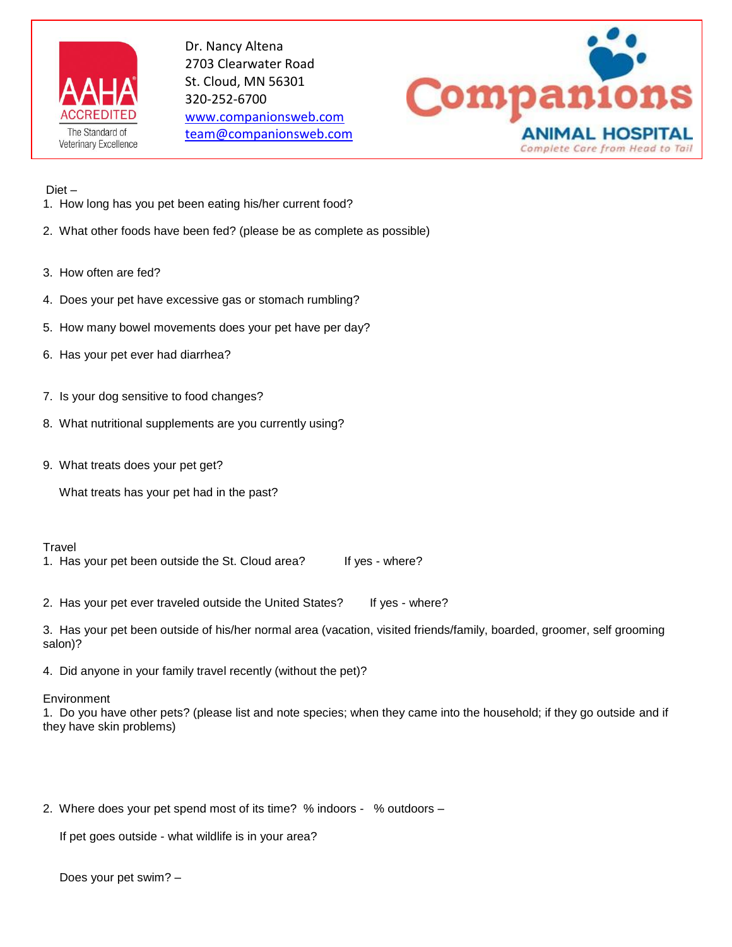

Dr. Nancy Altena 2703 Clearwater Road St. Cloud, MN 56301 320-252-6700 [www.companionsweb.com](http://www.companionsweb.com/) [team@companionsweb.com](mailto:team@companionsweb.com)



Diet –

- 1. How long has you pet been eating his/her current food?
- 2. What other foods have been fed? (please be as complete as possible)
- 3. How often are fed?
- 4. Does your pet have excessive gas or stomach rumbling?
- 5. How many bowel movements does your pet have per day?
- 6. Has your pet ever had diarrhea?
- 7. Is your dog sensitive to food changes?
- 8. What nutritional supplements are you currently using?
- 9. What treats does your pet get?

What treats has your pet had in the past?

## **Travel**

1. Has your pet been outside the St. Cloud area? If yes - where?

2. Has your pet ever traveled outside the United States? If yes - where?

3. Has your pet been outside of his/her normal area (vacation, visited friends/family, boarded, groomer, self grooming salon)?

4. Did anyone in your family travel recently (without the pet)?

Environment

1. Do you have other pets? (please list and note species; when they came into the household; if they go outside and if they have skin problems)

2. Where does your pet spend most of its time? % indoors - % outdoors –

If pet goes outside - what wildlife is in your area?

Does your pet swim? –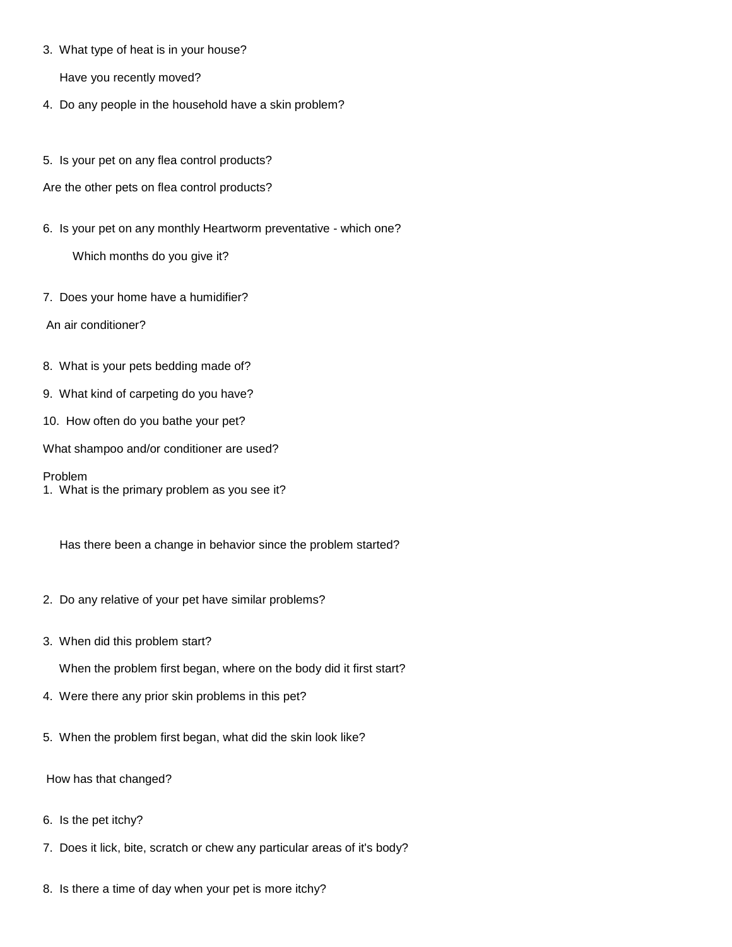3. What type of heat is in your house?

Have you recently moved?

- 4. Do any people in the household have a skin problem?
- 5. Is your pet on any flea control products?
- Are the other pets on flea control products?
- 6. Is your pet on any monthly Heartworm preventative which one?

Which months do you give it?

7. Does your home have a humidifier?

An air conditioner?

- 8. What is your pets bedding made of?
- 9. What kind of carpeting do you have?
- 10. How often do you bathe your pet?

What shampoo and/or conditioner are used?

## Problem

1. What is the primary problem as you see it?

Has there been a change in behavior since the problem started?

- 2. Do any relative of your pet have similar problems?
- 3. When did this problem start?

When the problem first began, where on the body did it first start?

- 4. Were there any prior skin problems in this pet?
- 5. When the problem first began, what did the skin look like?

How has that changed?

- 6. Is the pet itchy?
- 7. Does it lick, bite, scratch or chew any particular areas of it's body?
- 8. Is there a time of day when your pet is more itchy?